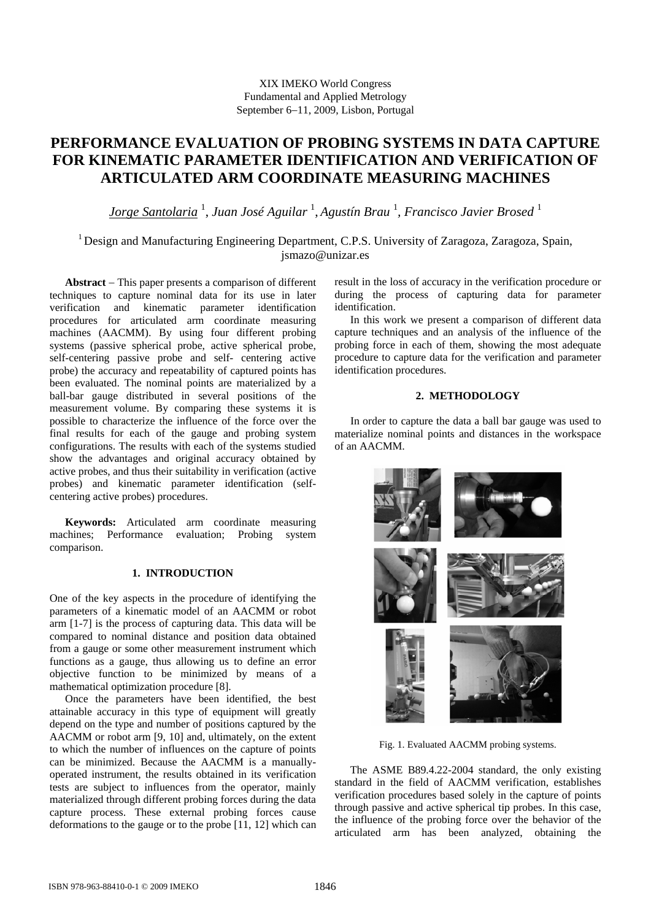# XIX IMEKO World Congress Fundamental and Applied Metrology September 6–11, 2009, Lisbon, Portugal

# **PERFORMANCE EVALUATION OF PROBING SYSTEMS IN DATA CAPTURE FOR KINEMATIC PARAMETER IDENTIFICATION AND VERIFICATION OF ARTICULATED ARM COORDINATE MEASURING MACHINES**

 $Jorge$  Santolaria <sup>1</sup>, Juan José Aguilar <sup>1</sup>, Agustín Brau <sup>1</sup>, Francisco Javier Brosed <sup>1</sup>

1 Design and Manufacturing Engineering Department, C.P.S. University of Zaragoza, Zaragoza, Spain, jsmazo@unizar.es

Abstract – This paper presents a comparison of different techniques to capture nominal data for its use in later verification and kinematic parameter identification procedures for articulated arm coordinate measuring machines (AACMM). By using four different probing systems (passive spherical probe, active spherical probe, self-centering passive probe and self- centering active probe) the accuracy and repeatability of captured points has been evaluated. The nominal points are materialized by a ball-bar gauge distributed in several positions of the measurement volume. By comparing these systems it is possible to characterize the influence of the force over the final results for each of the gauge and probing system configurations. The results with each of the systems studied show the advantages and original accuracy obtained by active probes, and thus their suitability in verification (active probes) and kinematic parameter identification (selfcentering active probes) procedures.

**Keywords:** Articulated arm coordinate measuring machines; Performance evaluation; Probing system comparison.

# **1. INTRODUCTION**

One of the key aspects in the procedure of identifying the parameters of a kinematic model of an AACMM or robot arm [1-7] is the process of capturing data. This data will be compared to nominal distance and position data obtained from a gauge or some other measurement instrument which functions as a gauge, thus allowing us to define an error objective function to be minimized by means of a mathematical optimization procedure [8].

Once the parameters have been identified, the best attainable accuracy in this type of equipment will greatly depend on the type and number of positions captured by the AACMM or robot arm [9, 10] and, ultimately, on the extent to which the number of influences on the capture of points can be minimized. Because the AACMM is a manuallyoperated instrument, the results obtained in its verification tests are subject to influences from the operator, mainly materialized through different probing forces during the data capture process. These external probing forces cause deformations to the gauge or to the probe [11, 12] which can result in the loss of accuracy in the verification procedure or during the process of capturing data for parameter identification.

In this work we present a comparison of different data capture techniques and an analysis of the influence of the probing force in each of them, showing the most adequate procedure to capture data for the verification and parameter identification procedures.

# **2. METHODOLOGY**

In order to capture the data a ball bar gauge was used to materialize nominal points and distances in the workspace of an AACMM.



Fig. 1. Evaluated AACMM probing systems.

The ASME B89.4.22-2004 standard, the only existing standard in the field of AACMM verification, establishes verification procedures based solely in the capture of points through passive and active spherical tip probes. In this case, the influence of the probing force over the behavior of the articulated arm has been analyzed, obtaining the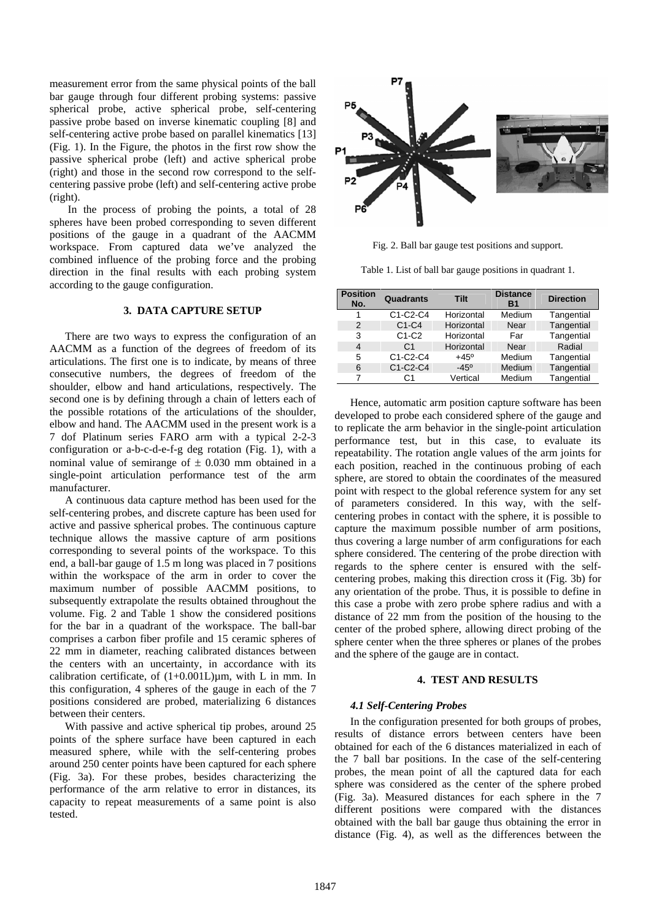measurement error from the same physical points of the ball bar gauge through four different probing systems: passive spherical probe, active spherical probe, self-centering passive probe based on inverse kinematic coupling [8] and self-centering active probe based on parallel kinematics [13] (Fig. 1). In the Figure, the photos in the first row show the passive spherical probe (left) and active spherical probe (right) and those in the second row correspond to the selfcentering passive probe (left) and self-centering active probe (right).

 In the process of probing the points, a total of 28 spheres have been probed corresponding to seven different positions of the gauge in a quadrant of the AACMM workspace. From captured data we've analyzed the combined influence of the probing force and the probing direction in the final results with each probing system according to the gauge configuration.

## **3. DATA CAPTURE SETUP**

There are two ways to express the configuration of an AACMM as a function of the degrees of freedom of its articulations. The first one is to indicate, by means of three consecutive numbers, the degrees of freedom of the shoulder, elbow and hand articulations, respectively. The second one is by defining through a chain of letters each of the possible rotations of the articulations of the shoulder, elbow and hand. The AACMM used in the present work is a 7 dof Platinum series FARO arm with a typical 2-2-3 configuration or a-b-c-d-e-f-g deg rotation (Fig. 1), with a nominal value of semirange of  $\pm$  0.030 mm obtained in a single-point articulation performance test of the arm manufacturer.

A continuous data capture method has been used for the self-centering probes, and discrete capture has been used for active and passive spherical probes. The continuous capture technique allows the massive capture of arm positions corresponding to several points of the workspace. To this end, a ball-bar gauge of 1.5 m long was placed in 7 positions within the workspace of the arm in order to cover the maximum number of possible AACMM positions, to subsequently extrapolate the results obtained throughout the volume. Fig. 2 and Table 1 show the considered positions for the bar in a quadrant of the workspace. The ball-bar comprises a carbon fiber profile and 15 ceramic spheres of 22 mm in diameter, reaching calibrated distances between the centers with an uncertainty, in accordance with its calibration certificate, of  $(1+0.001L)$ um, with L in mm. In this configuration, 4 spheres of the gauge in each of the 7 positions considered are probed, materializing 6 distances between their centers.

With passive and active spherical tip probes, around 25 points of the sphere surface have been captured in each measured sphere, while with the self-centering probes around 250 center points have been captured for each sphere (Fig. 3a). For these probes, besides characterizing the performance of the arm relative to error in distances, its capacity to repeat measurements of a same point is also tested.



Fig. 2. Ball bar gauge test positions and support.

Table 1. List of ball bar gauge positions in quadrant 1.

| <b>Position</b><br>No. | Quadrants      | <b>Tilt</b>   | <b>Distance</b><br><b>B1</b> | <b>Direction</b> |
|------------------------|----------------|---------------|------------------------------|------------------|
| 1                      | C1-C2-C4       | Horizontal    | Medium                       | Tangential       |
| 2                      | $C1-C4$        | Horizontal    | Near                         | Tangential       |
| 3                      | $C1-C2$        | Horizontal    | Far                          | Tangential       |
| 4                      | C <sub>1</sub> | Horizontal    | Near                         | Radial           |
| 5                      | C1-C2-C4       | $+45^{\circ}$ | Medium                       | Tangential       |
| 6                      | C1-C2-C4       | $-45^{\circ}$ | Medium                       | Tangential       |
| 7                      | C1             | Vertical      | Medium                       | Tangential       |

Hence, automatic arm position capture software has been developed to probe each considered sphere of the gauge and to replicate the arm behavior in the single-point articulation performance test, but in this case, to evaluate its repeatability. The rotation angle values of the arm joints for each position, reached in the continuous probing of each sphere, are stored to obtain the coordinates of the measured point with respect to the global reference system for any set of parameters considered. In this way, with the selfcentering probes in contact with the sphere, it is possible to capture the maximum possible number of arm positions, thus covering a large number of arm configurations for each sphere considered. The centering of the probe direction with regards to the sphere center is ensured with the selfcentering probes, making this direction cross it (Fig. 3b) for any orientation of the probe. Thus, it is possible to define in this case a probe with zero probe sphere radius and with a distance of 22 mm from the position of the housing to the center of the probed sphere, allowing direct probing of the sphere center when the three spheres or planes of the probes and the sphere of the gauge are in contact.

### **4. TEST AND RESULTS**

#### *4.1 Self-Centering Probes*

In the configuration presented for both groups of probes, results of distance errors between centers have been obtained for each of the 6 distances materialized in each of the 7 ball bar positions. In the case of the self-centering probes, the mean point of all the captured data for each sphere was considered as the center of the sphere probed (Fig. 3a). Measured distances for each sphere in the 7 different positions were compared with the distances obtained with the ball bar gauge thus obtaining the error in distance (Fig. 4), as well as the differences between the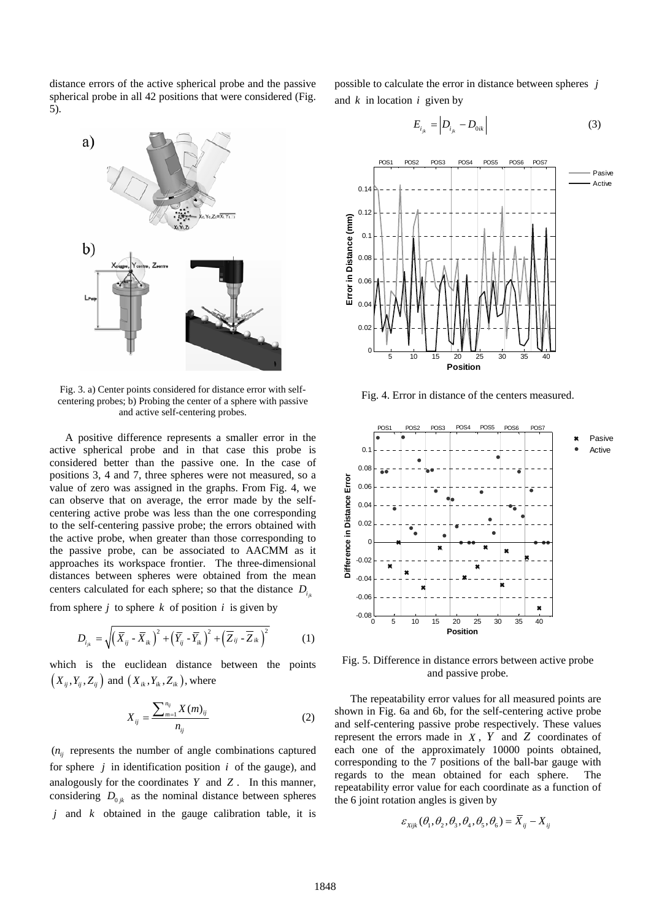distance errors of the active spherical probe and the passive spherical probe in all 42 positions that were considered (Fig. 5).



Fig. 3. a) Center points considered for distance error with selfcentering probes; b) Probing the center of a sphere with passive and active self-centering probes.

A positive difference represents a smaller error in the active spherical probe and in that case this probe is considered better than the passive one. In the case of positions 3, 4 and 7, three spheres were not measured, so a value of zero was assigned in the graphs. From Fig. 4, we can observe that on average, the error made by the selfcentering active probe was less than the one corresponding to the self-centering passive probe; the errors obtained with the active probe, when greater than those corresponding to the passive probe, can be associated to AACMM as it approaches its workspace frontier. The three-dimensional distances between spheres were obtained from the mean centers calculated for each sphere; so that the distance  $D_i$ 

from sphere *j* to sphere *k* of position *i* is given by

$$
D_{i_{jk}} = \sqrt{\left(\bar{X}_{ij} - \bar{X}_{ik}\right)^2 + \left(\bar{Y}_{ij} - \bar{Y}_{ik}\right)^2 + \left(\bar{Z}_{ij} - \bar{Z}_{ik}\right)^2}
$$
(1)

which is the euclidean distance between the points  $(X_{ii}, Y_{ii}, Z_{ii})$  and  $(X_{ik}, Y_{ik}, Z_{ik})$ , where

$$
X_{ij} = \frac{\sum_{m=1}^{n_{ij}} X(m)_{ij}}{n_{ij}}\tag{2}
$$

 $(n_{ij})$  represents the number of angle combinations captured for sphere *j* in identification position *i* of the gauge), and analogously for the coordinates *Y* and *Z* . In this manner, considering  $D_{0ik}$  as the nominal distance between spheres *j* and *k* obtained in the gauge calibration table, it is

possible to calculate the error in distance between spheres *j* and *k* in location *i* given by

$$
E_{i_{jk}} = |D_{i_{jk}} - D_{0ik}|
$$
 (3)



Fig. 4. Error in distance of the centers measured.



Fig. 5. Difference in distance errors between active probe and passive probe.

The repeatability error values for all measured points are shown in Fig. 6a and 6b, for the self-centering active probe and self-centering passive probe respectively. These values represent the errors made in *X* , *Y* and *Z* coordinates of each one of the approximately 10000 points obtained, corresponding to the 7 positions of the ball-bar gauge with regards to the mean obtained for each sphere. The repeatability error value for each coordinate as a function of the 6 joint rotation angles is given by

$$
\varepsilon_{Xijk}(\theta_1, \theta_2, \theta_3, \theta_4, \theta_5, \theta_6) = \overline{X}_{ij} - X_{ij}
$$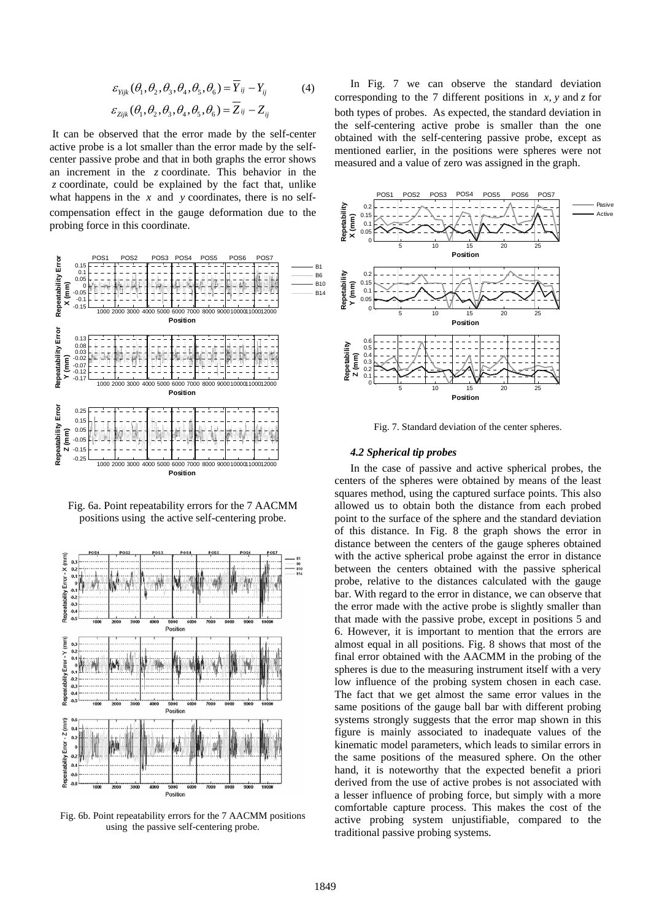$$
\varepsilon_{Yijk}(\theta_1, \theta_2, \theta_3, \theta_4, \theta_5, \theta_6) = \overline{Y}_{ij} - Y_{ij}
$$
\n
$$
\varepsilon_{Zijk}(\theta_1, \theta_2, \theta_3, \theta_4, \theta_5, \theta_6) = \overline{Z}_{ij} - Z_{ij}
$$
\n(4)

 It can be observed that the error made by the self-center active probe is a lot smaller than the error made by the selfcenter passive probe and that in both graphs the error shows an increment in the *z* coordinate. This behavior in the *z* coordinate, could be explained by the fact that, unlike what happens in the  $x$  and  $y$  coordinates, there is no selfcompensation effect in the gauge deformation due to the probing force in this coordinate.



Fig. 6a. Point repeatability errors for the 7 AACMM positions using the active self-centering probe.



Fig. 6b. Point repeatability errors for the 7 AACMM positions using the passive self-centering probe.

In Fig. 7 we can observe the standard deviation corresponding to the 7 different positions in  $x$ ,  $y$  and  $z$  for both types of probes. As expected, the standard deviation in the self-centering active probe is smaller than the one obtained with the self-centering passive probe, except as mentioned earlier, in the positions were spheres were not measured and a value of zero was assigned in the graph.



Fig. 7. Standard deviation of the center spheres.

#### *4.2 Spherical tip probes*

In the case of passive and active spherical probes, the centers of the spheres were obtained by means of the least squares method, using the captured surface points. This also allowed us to obtain both the distance from each probed point to the surface of the sphere and the standard deviation of this distance. In Fig. 8 the graph shows the error in distance between the centers of the gauge spheres obtained with the active spherical probe against the error in distance between the centers obtained with the passive spherical probe, relative to the distances calculated with the gauge bar. With regard to the error in distance, we can observe that the error made with the active probe is slightly smaller than that made with the passive probe, except in positions 5 and 6. However, it is important to mention that the errors are almost equal in all positions. Fig. 8 shows that most of the final error obtained with the AACMM in the probing of the spheres is due to the measuring instrument itself with a very low influence of the probing system chosen in each case. The fact that we get almost the same error values in the same positions of the gauge ball bar with different probing systems strongly suggests that the error map shown in this figure is mainly associated to inadequate values of the kinematic model parameters, which leads to similar errors in the same positions of the measured sphere. On the other hand, it is noteworthy that the expected benefit a priori derived from the use of active probes is not associated with a lesser influence of probing force, but simply with a more comfortable capture process. This makes the cost of the active probing system unjustifiable, compared to the traditional passive probing systems.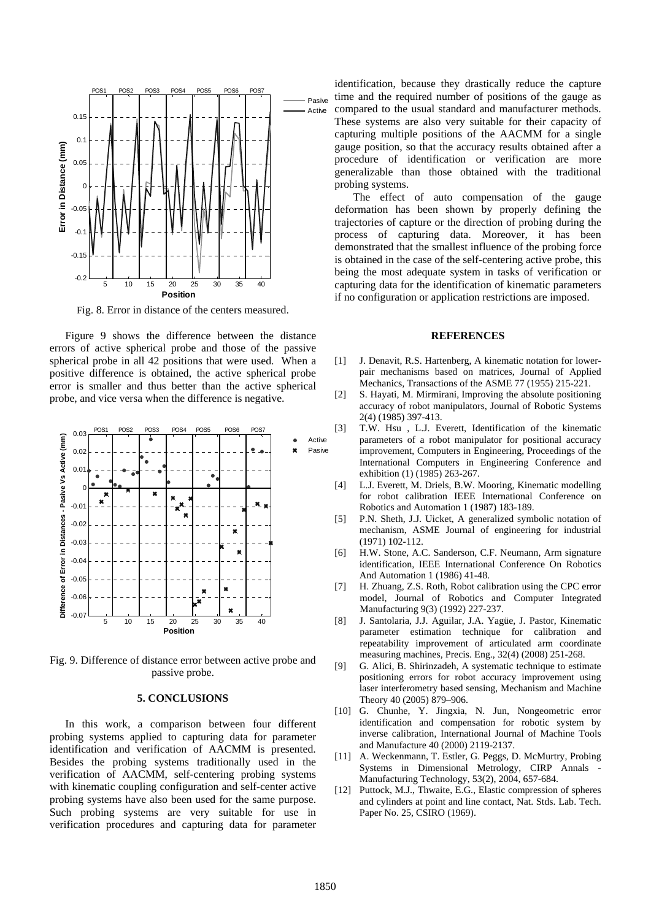

Fig. 8. Error in distance of the centers measured.

Figure 9 shows the difference between the distance errors of active spherical probe and those of the passive spherical probe in all 42 positions that were used. When a positive difference is obtained, the active spherical probe error is smaller and thus better than the active spherical probe, and vice versa when the difference is negative.



Fig. 9. Difference of distance error between active probe and passive probe.

#### **5. CONCLUSIONS**

In this work, a comparison between four different probing systems applied to capturing data for parameter identification and verification of AACMM is presented. Besides the probing systems traditionally used in the verification of AACMM, self-centering probing systems with kinematic coupling configuration and self-center active probing systems have also been used for the same purpose. Such probing systems are very suitable for use in verification procedures and capturing data for parameter identification, because they drastically reduce the capture time and the required number of positions of the gauge as compared to the usual standard and manufacturer methods. These systems are also very suitable for their capacity of capturing multiple positions of the AACMM for a single gauge position, so that the accuracy results obtained after a procedure of identification or verification are more generalizable than those obtained with the traditional probing systems.

 The effect of auto compensation of the gauge deformation has been shown by properly defining the trajectories of capture or the direction of probing during the process of capturing data. Moreover, it has been demonstrated that the smallest influence of the probing force is obtained in the case of the self-centering active probe, this being the most adequate system in tasks of verification or capturing data for the identification of kinematic parameters if no configuration or application restrictions are imposed.

#### **REFERENCES**

- [1] J. Denavit, R.S. Hartenberg, A kinematic notation for lowerpair mechanisms based on matrices, Journal of Applied Mechanics, Transactions of the ASME 77 (1955) 215-221.
- [2] S. Hayati, M. Mirmirani, Improving the absolute positioning accuracy of robot manipulators, Journal of Robotic Systems 2(4) (1985) 397-413.
- [3] T.W. Hsu , L.J. Everett, Identification of the kinematic parameters of a robot manipulator for positional accuracy improvement, Computers in Engineering, Proceedings of the International Computers in Engineering Conference and exhibition (1) (1985) 263-267.
- [4] L.J. Everett, M. Driels, B.W. Mooring, Kinematic modelling for robot calibration IEEE International Conference on Robotics and Automation 1 (1987) 183-189.
- [5] P.N. Sheth, J.J. Uicket, A generalized symbolic notation of mechanism, ASME Journal of engineering for industrial (1971) 102-112.
- [6] H.W. Stone, A.C. Sanderson, C.F. Neumann, Arm signature identification, IEEE International Conference On Robotics And Automation 1 (1986) 41-48.
- [7] H. Zhuang, Z.S. Roth, Robot calibration using the CPC error model, Journal of Robotics and Computer Integrated Manufacturing 9(3) (1992) 227-237.
- [8] J. Santolaria, J.J. Aguilar, J.A. Yagüe, J. Pastor, Kinematic parameter estimation technique for calibration and repeatability improvement of articulated arm coordinate measuring machines, Precis. Eng., 32(4) (2008) 251-268.
- [9] G. Alici, B. Shirinzadeh, A systematic technique to estimate positioning errors for robot accuracy improvement using laser interferometry based sensing, Mechanism and Machine Theory 40 (2005) 879–906.
- [10] G. Chunhe, Y. Jingxia, N. Jun, Nongeometric error identification and compensation for robotic system by inverse calibration, International Journal of Machine Tools and Manufacture 40 (2000) 2119-2137.
- [11] A. Weckenmann, T. Estler, G. Peggs, D. McMurtry, Probing Systems in Dimensional Metrology, CIRP Annals - Manufacturing Technology, 53(2), 2004, 657-684.
- [12] Puttock, M.J., Thwaite, E.G., Elastic compression of spheres and cylinders at point and line contact, Nat. Stds. Lab. Tech. Paper No. 25, CSIRO (1969).